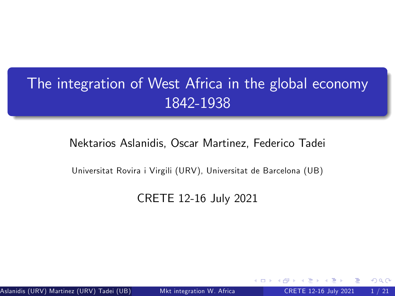# The integration of West Africa in the global economy 1842-1938

### Nektarios Aslanidis, Oscar Martinez, Federico Tadei

Universitat Rovira i Virgili (URV), Universitat de Barcelona (UB)

### CRETE 12-16 July 2021

Aslanidis (URV) Martinez (URV) Tadei (UB) (UR) (URIVERSITAT ROVIRE A ROVIRTI (URIVERSITE 12-16 July 2021 1 / 21

<span id="page-0-0"></span>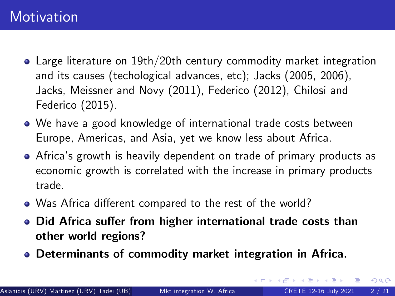### **Motivation**

- Large literature on 19th/20th century commodity market integration and its causes (techological advances, etc); Jacks (2005, 2006), Jacks, Meissner and Novy (2011), Federico (2012), Chilosi and Federico (2015).
- We have a good knowledge of international trade costs between Europe, Americas, and Asia, yet we know less about Africa.
- Africaís growth is heavily dependent on trade of primary products as economic growth is correlated with the increase in primary products trade.
- Was Africa different compared to the rest of the world?
- Did Africa suffer from higher international trade costs than other world regions?
- Determinants of commodity market integration in Africa.

 $\Omega$ 

イロト イ押ト イヨト イヨト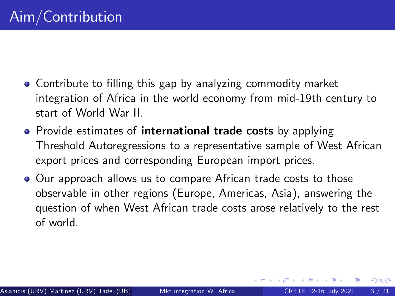- Contribute to filling this gap by analyzing commodity market integration of Africa in the world economy from mid-19th century to start of World War II.
- Provide estimates of international trade costs by applying Threshold Autoregressions to a representative sample of West African export prices and corresponding European import prices.
- Our approach allows us to compare African trade costs to those observable in other regions (Europe, Americas, Asia), answering the question of when West African trade costs arose relatively to the rest of world.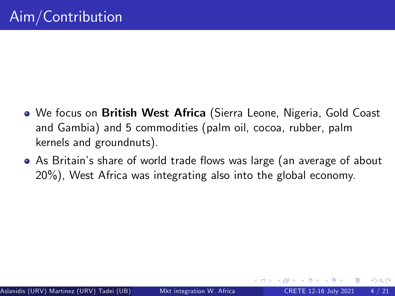- We focus on British West Africa (Sierra Leone, Nigeria, Gold Coast and Gambia) and 5 commodities (palm oil, cocoa, rubber, palm kernels and groundnuts).
- As Britain's share of world trade flows was large (an average of about 20%), West Africa was integrating also into the global economy.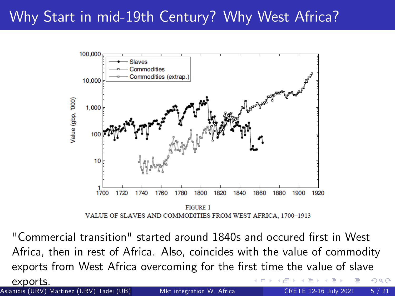# Why Start in mid-19th Century? Why West Africa?



"Commercial transition" started around 1840s and occured first in West Africa, then in rest of Africa. Also, coincides with the value of commodity exports from West Africa overcoming for the first time the value of slave

Aslanidis (URV) Martinez (URV) Tadei (UB) (URIVITAT Rovira i Virgilia i Virgili (URIV), UNIVERSITE 12-16 July 2021 5 / 21

exports.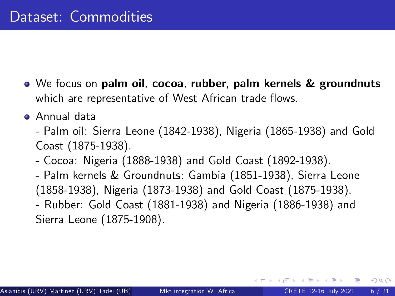- We focus on palm oil, cocoa, rubber, palm kernels & groundnuts which are representative of West African trade flows.
- Annual data
	- Palm oil: Sierra Leone (1842-1938), Nigeria (1865-1938) and Gold Coast (1875-1938).
	- Cocoa: Nigeria (1888-1938) and Gold Coast (1892-1938).
	- Palm kernels & Groundnuts: Gambia (1851-1938), Sierra Leone (1858-1938), Nigeria (1873-1938) and Gold Coast (1875-1938). - Rubber: Gold Coast (1881-1938) and Nigeria (1886-1938) and

Sierra Leone (1875-1908).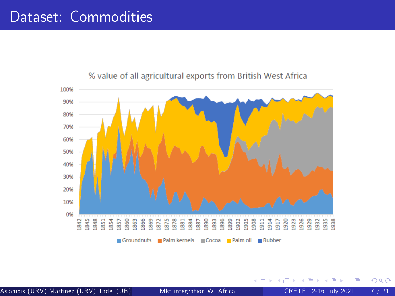### Dataset: Commodities



#### % value of all agricultural exports from British West Africa

Aslanidis (URV) Martinez (URV) Tadei (UB) (Universitation W. Africa CRETE 12-16 July 2021 7 / 21

4 0 8

 $QQ$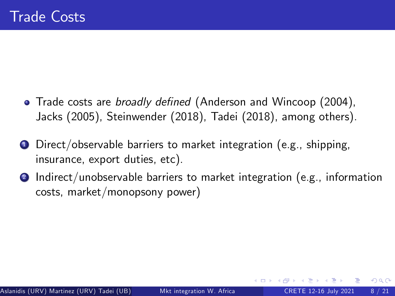- Trade costs are *broadly defined* (Anderson and Wincoop (2004), Jacks (2005), Steinwender (2018), Tadei (2018), among others).
- Direct/observable barriers to market integration (e.g., shipping, insurance, export duties, etc).
- <sup>2</sup> Indirect/unobservable barriers to market integration (e.g., information costs, market/monopsony power)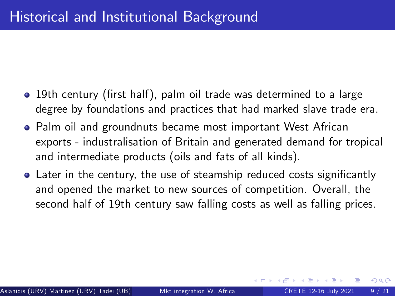- 19th century (first half), palm oil trade was determined to a large degree by foundations and practices that had marked slave trade era.
- Palm oil and groundnuts became most important West African exports - industralisation of Britain and generated demand for tropical and intermediate products (oils and fats of all kinds).
- Later in the century, the use of steamship reduced costs significantly and opened the market to new sources of competition. Overall, the second half of 19th century saw falling costs as well as falling prices.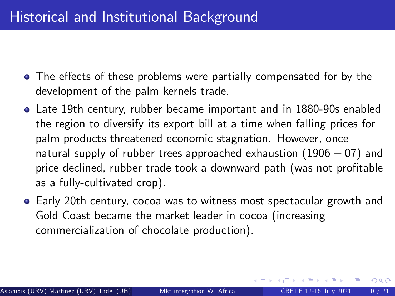- The effects of these problems were partially compensated for by the development of the palm kernels trade.
- Late 19th century, rubber became important and in 1880-90s enabled the region to diversify its export bill at a time when falling prices for palm products threatened economic stagnation. However, once natural supply of rubber trees approached exhaustion  $(1906 - 07)$  and price declined, rubber trade took a downward path (was not profitable as a fully-cultivated crop).
- Early 20th century, cocoa was to witness most spectacular growth and Gold Coast became the market leader in cocoa (increasing commercialization of chocolate production).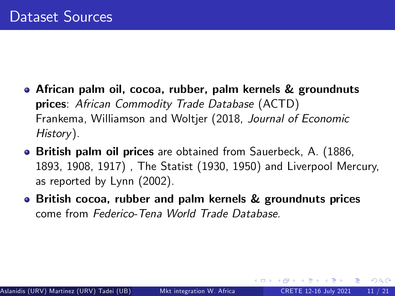- African palm oil, cocoa, rubber, palm kernels & groundnuts prices: African Commodity Trade Database (ACTD) Frankema, Williamson and Woltjer (2018, Journal of Economic History).
- **British palm oil prices** are obtained from Sauerbeck, A. (1886, 1893, 1908, 1917) , The Statist (1930, 1950) and Liverpool Mercury, as reported by Lynn (2002).
- British cocoa, rubber and palm kernels & groundnuts prices come from Federico-Tena World Trade Database.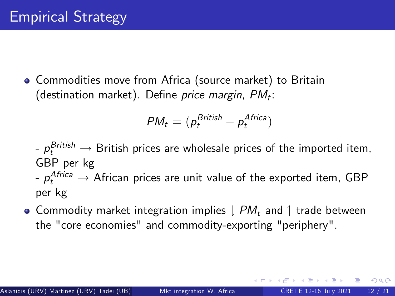Commodities move from Africa (source market) to Britain (destination market). Define *price margin, PM<sub>t</sub>:* 

$$
PM_t = (p_t^{British} - p_t^{ Africa})
$$

- $p_t^{British} \rightarrow$  British prices are wholesale prices of the imported item, GBP per kg
- $p_t^{African} \rightarrow$  African prices are unit value of the exported item, GBP per kg
- Commodity market integration implies  $\downarrow PM_t$  and  $\uparrow$  trade between the "core economies" and commodity-exporting "periphery".

 $QQQ$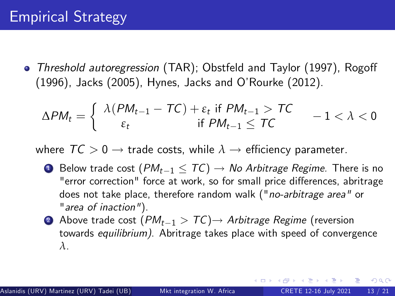• Threshold autoregression (TAR); Obstfeld and Taylor (1997), Rogoff (1996), Jacks (2005), Hynes, Jacks and OíRourke (2012).

$$
\Delta PM_t = \left\{ \begin{array}{cc} \lambda(PM_{t-1} - TC) + \varepsilon_t \text{ if } PM_{t-1} > TC & -1 < \lambda < 0\\ \varepsilon_t & \text{if } PM_{t-1} \le TC & -1 \end{array} \right.
$$

where  $TC > 0 \rightarrow$  trade costs, while  $\lambda \rightarrow$  efficiency parameter.

- **1** Below trade cost  $(PM_{t-1} < TC) \rightarrow No$  Arbitrage Regime. There is no "error correction" force at work, so for small price differences, abritrage does not take place, therefore random walk ("no-arbitrage area" or "area of inaction").
- **2** Above trade cost  $(PM_{t-1} > TC) \rightarrow$  Arbitrage Regime (reversion towards equilibrium). Abritrage takes place with speed of convergence *λ*.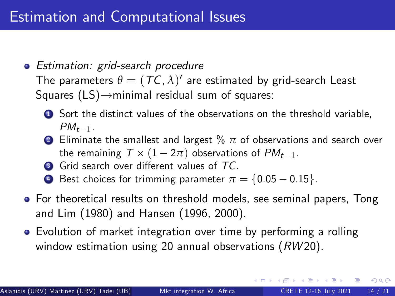• Estimation: grid-search procedure

The parameters  $\theta = (\mathcal{TC}, \lambda)'$  are estimated by grid-search Least Squares  $(LS) \rightarrow$ minimal residual sum of squares:

- **1** Sort the distinct values of the observations on the threshold variable,  $PM_{t-1}$ .
- <sup>2</sup> Eliminate the smallest and largest % *π* of observations and search over the remaining  $T \times (1 - 2\pi)$  observations of  $PM_{t-1}$ .
- **3** Grid search over different values of TC.
- 4 Best choices for trimming parameter  $\pi = \{0.05 0.15\}$ .
- For theoretical results on threshold models, see seminal papers, Tong and Lim (1980) and Hansen (1996, 2000).
- Evolution of market integration over time by performing a rolling window estimation using 20 annual observations  $(RW20)$ .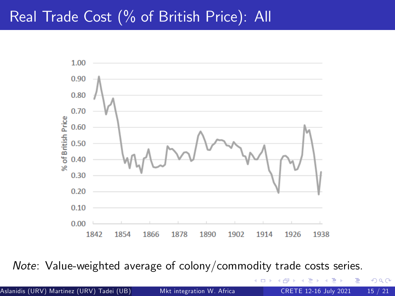### Real Trade Cost (% of British Price): All



Note: Value-weighted average of colony/commodity trade costs series.

Aslanidis (URV) Martinez (URV) Tadei (UB) (Universitation W. Africa CRETE 12-16 July 2021 15 / 21

 $\Box$ 

 $290$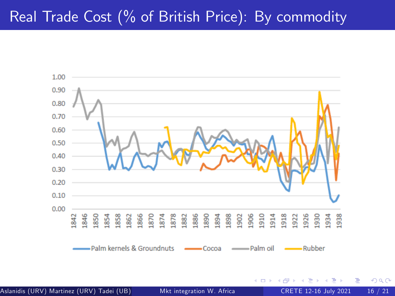### Real Trade Cost (% of British Price): By commodity



Aslanidis (URV) Martinez (URV) Tadei (UB) (UR) (URIVIRE Rovira i Vienersitation W. Africa CRETE 12-16 July 2021 16 / 21

4 D F

 $299$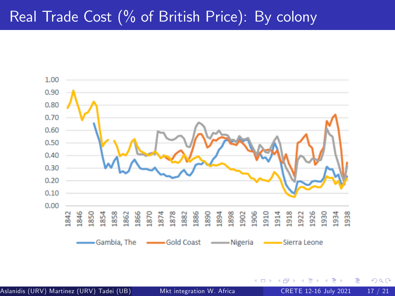# Real Trade Cost (% of British Price): By colony



Aslanidis (URV) Martinez (URV) Tadei (UB) (UR) (URIVERSITAT MKT integration W. Africa CRETE 12-16 July 2021 17

э

4 **EL F** 

 $299$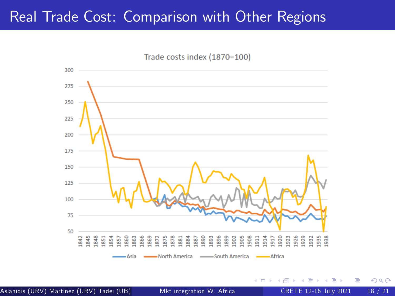### Real Trade Cost: Comparison with Other Regions



4 D F

 $QQ$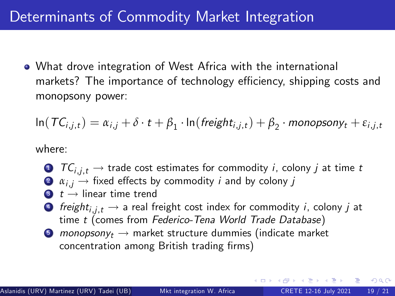## Determinants of Commodity Market Integration

What drove integration of West Africa with the international markets? The importance of technology efficiency, shipping costs and monopsony power:

$$
\ln(TC_{i,j,t}) = \alpha_{i,j} + \delta \cdot t + \beta_1 \cdot \ln(\text{freight}_{i,j,t}) + \beta_2 \cdot \text{monopsony}_t + \varepsilon_{i,j,t}
$$

where:

- $\bullet$   $TC_{i,i,t} \rightarrow$  trade cost estimates for commodity i, colony j at time t  $\bullet$   $\alpha_{i,j} \rightarrow$  fixed effects by commodity *i* and by colony *j*
- $\bullet$   $t \rightarrow$  linear time trend
- $\bullet$  freight<sub>i,j,t</sub>  $\rightarrow$  a real freight cost index for commodity i, colony j at time t (comes from Federico-Tena World Trade Database)
- **6** monopsony<sub>t</sub>  $\rightarrow$  market structure dummies (indicate market concentration among British trading firms)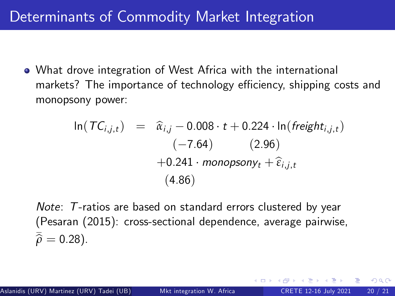What drove integration of West Africa with the international markets? The importance of technology efficiency, shipping costs and monopsony power:

$$
\ln(TC_{i,j,t}) = \hat{\alpha}_{i,j} - 0.008 \cdot t + 0.224 \cdot \ln(\text{freight}_{i,j,t})
$$
  
\n
$$
(-7.64) \qquad (2.96)
$$
  
\n
$$
+ 0.241 \cdot \text{monopsony}_t + \hat{\epsilon}_{i,j,t}
$$
  
\n
$$
(4.86)
$$

Note: T-ratios are based on standard errors clustered by year (Pesaran (2015): cross-sectional dependence, average pairwise, \_  $\hat{\rho} = 0.28$ ).